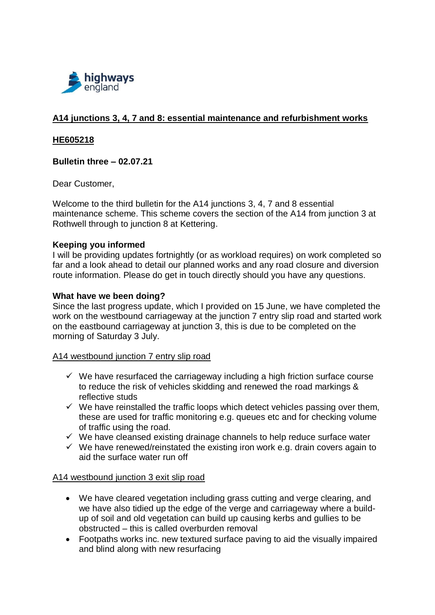

# **A14 junctions 3, 4, 7 and 8: essential maintenance and refurbishment works**

#### **HE605218**

### **Bulletin three – 02.07.21**

Dear Customer,

Welcome to the third bulletin for the A14 junctions 3, 4, 7 and 8 essential maintenance scheme. This scheme covers the section of the A14 from junction 3 at Rothwell through to junction 8 at Kettering.

#### **Keeping you informed**

I will be providing updates fortnightly (or as workload requires) on work completed so far and a look ahead to detail our planned works and any road closure and diversion route information. Please do get in touch directly should you have any questions.

#### **What have we been doing?**

Since the last progress update, which I provided on 15 June, we have completed the work on the westbound carriageway at the junction 7 entry slip road and started work on the eastbound carriageway at junction 3, this is due to be completed on the morning of Saturday 3 July.

#### A14 westbound junction 7 entry slip road

- $\checkmark$  We have resurfaced the carriageway including a high friction surface course to reduce the risk of vehicles skidding and renewed the road markings & reflective studs
- $\checkmark$  We have reinstalled the traffic loops which detect vehicles passing over them, these are used for traffic monitoring e.g. queues etc and for checking volume of traffic using the road.
- $\checkmark$  We have cleansed existing drainage channels to help reduce surface water
- $\checkmark$  We have renewed/reinstated the existing iron work e.g. drain covers again to aid the surface water run off

#### A14 westbound junction 3 exit slip road

- We have cleared vegetation including grass cutting and verge clearing, and we have also tidied up the edge of the verge and carriageway where a buildup of soil and old vegetation can build up causing kerbs and gullies to be obstructed – this is called overburden removal
- Footpaths works inc. new textured surface paving to aid the visually impaired and blind along with new resurfacing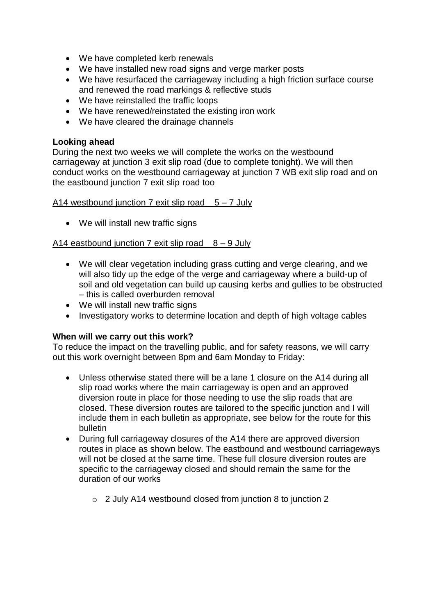- We have completed kerb renewals
- We have installed new road signs and verge marker posts
- We have resurfaced the carriageway including a high friction surface course and renewed the road markings & reflective studs
- We have reinstalled the traffic loops
- We have renewed/reinstated the existing iron work
- We have cleared the drainage channels

### **Looking ahead**

During the next two weeks we will complete the works on the westbound carriageway at junction 3 exit slip road (due to complete tonight). We will then conduct works on the westbound carriageway at junction 7 WB exit slip road and on the eastbound junction 7 exit slip road too

A14 westbound junction 7 exit slip road  $5 - 7$  July

• We will install new traffic signs

### A14 eastbound junction 7 exit slip road  $8 - 9$  July

- We will clear vegetation including grass cutting and verge clearing, and we will also tidy up the edge of the verge and carriageway where a build-up of soil and old vegetation can build up causing kerbs and gullies to be obstructed – this is called overburden removal
- We will install new traffic signs
- Investigatory works to determine location and depth of high voltage cables

#### **When will we carry out this work?**

To reduce the impact on the travelling public, and for safety reasons, we will carry out this work overnight between 8pm and 6am Monday to Friday:

- Unless otherwise stated there will be a lane 1 closure on the A14 during all slip road works where the main carriageway is open and an approved diversion route in place for those needing to use the slip roads that are closed. These diversion routes are tailored to the specific junction and I will include them in each bulletin as appropriate, see below for the route for this bulletin
- During full carriageway closures of the A14 there are approved diversion routes in place as shown below. The eastbound and westbound carriageways will not be closed at the same time. These full closure diversion routes are specific to the carriageway closed and should remain the same for the duration of our works
	- o 2 July A14 westbound closed from junction 8 to junction 2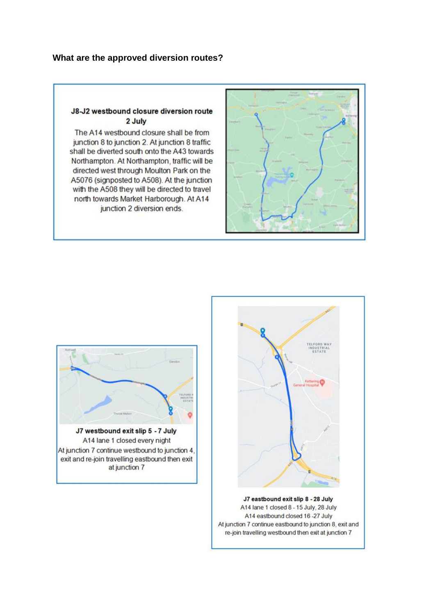#### J8-J2 westbound closure diversion route 2 July

The A14 westbound closure shall be from junction 8 to junction 2. At junction 8 traffic shall be diverted south onto the A43 towards Northampton. At Northampton, traffic will be directed west through Moulton Park on the A5076 (signposted to A508). At the junction with the A508 they will be directed to travel north towards Market Harborough. At A14 junction 2 diversion ends.







J7 eastbound exit slip 8 - 28 July A14 lane 1 closed 8 - 15 July, 28 July A14 eastbound closed 16 -27 July At junction 7 continue eastbound to junction 8, exit and re-join travelling westbound then exit at junction 7